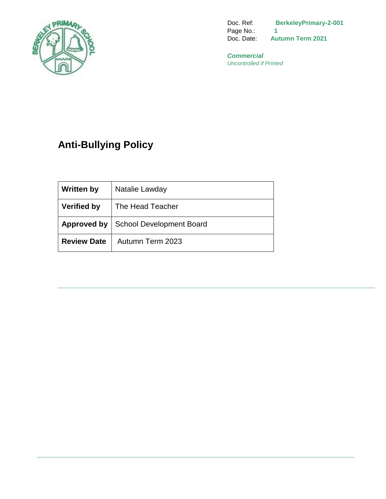

Doc. Ref: **BerkeleyPrimary-2-001**  Page No.: 1<br>Doc. Date: **Au Autumn Term 2021** 

*Commercial Uncontrolled if Printed*

# **Anti-Bullying Policy**

| <b>Written by</b>  | Natalie Lawday                                |
|--------------------|-----------------------------------------------|
| <b>Verified by</b> | The Head Teacher                              |
|                    | <b>Approved by   School Development Board</b> |
| <b>Review Date</b> | Autumn Term 2023                              |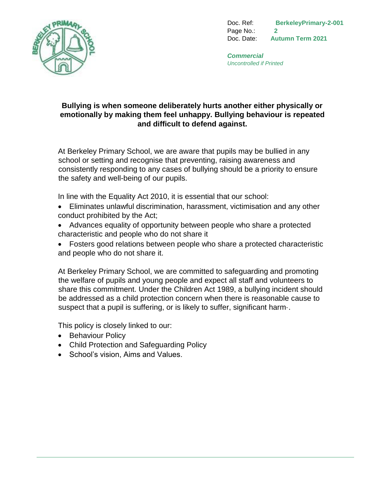

Doc. Ref: **BerkeleyPrimary-2-001**  Page No.: **2** Doc. Date: **Autumn Term 2021** 

*Commercial Uncontrolled if Printed*

## **Bullying is when someone deliberately hurts another either physically or emotionally by making them feel unhappy. Bullying behaviour is repeated and difficult to defend against.**

At Berkeley Primary School, we are aware that pupils may be bullied in any school or setting and recognise that preventing, raising awareness and consistently responding to any cases of bullying should be a priority to ensure the safety and well-being of our pupils.

In line with the Equality Act 2010, it is essential that our school:

- Eliminates unlawful discrimination, harassment, victimisation and any other conduct prohibited by the Act;
- Advances equality of opportunity between people who share a protected characteristic and people who do not share it
- Fosters good relations between people who share a protected characteristic and people who do not share it.

At Berkeley Primary School, we are committed to safeguarding and promoting the welfare of pupils and young people and expect all staff and volunteers to share this commitment. Under the Children Act 1989, a bullying incident should be addressed as a child protection concern when there is reasonable cause to suspect that a pupil is suffering, or is likely to suffer, significant harm.

This policy is closely linked to our:

- Behaviour Policy
- Child Protection and Safeguarding Policy
- School's vision, Aims and Values.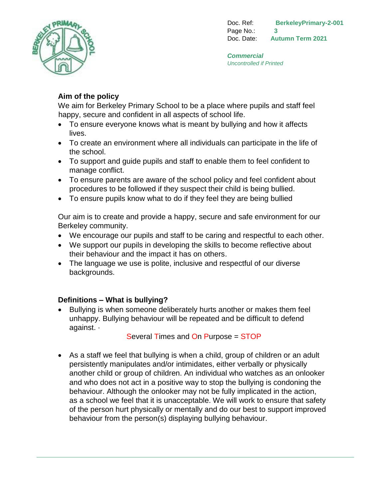

Doc. Ref: **BerkeleyPrimary-2-001**  Page No.: **3** Doc. Date: **Autumn Term 2021** 

*Commercial Uncontrolled if Printed*

# **Aim of the policy**

We aim for Berkeley Primary School to be a place where pupils and staff feel happy, secure and confident in all aspects of school life.

- To ensure everyone knows what is meant by bullying and how it affects lives.
- To create an environment where all individuals can participate in the life of the school.
- To support and guide pupils and staff to enable them to feel confident to manage conflict.
- To ensure parents are aware of the school policy and feel confident about procedures to be followed if they suspect their child is being bullied.
- To ensure pupils know what to do if they feel they are being bullied

Our aim is to create and provide a happy, secure and safe environment for our Berkeley community.

- We encourage our pupils and staff to be caring and respectful to each other.
- We support our pupils in developing the skills to become reflective about their behaviour and the impact it has on others.
- The language we use is polite, inclusive and respectful of our diverse backgrounds.

## **Definitions – What is bullying?**

• Bullying is when someone deliberately hurts another or makes them feel unhappy. Bullying behaviour will be repeated and be difficult to defend against. ·

Several Times and On Purpose = STOP

 As a staff we feel that bullying is when a child, group of children or an adult persistently manipulates and/or intimidates, either verbally or physically another child or group of children. An individual who watches as an onlooker and who does not act in a positive way to stop the bullying is condoning the behaviour. Although the onlooker may not be fully implicated in the action, as a school we feel that it is unacceptable. We will work to ensure that safety of the person hurt physically or mentally and do our best to support improved behaviour from the person(s) displaying bullying behaviour.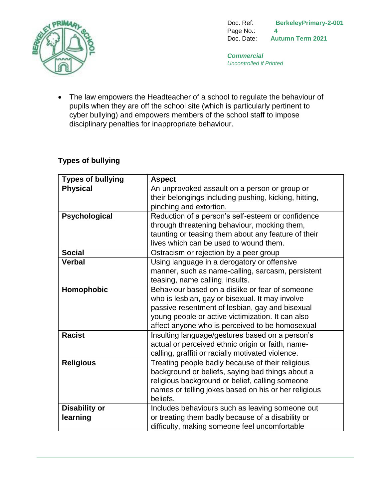

Doc. Ref: **BerkeleyPrimary-2-001**  Page No.: **4** Doc. Date: **Autumn Term 2021** 

*Commercial Uncontrolled if Printed*

• The law empowers the Headteacher of a school to regulate the behaviour of pupils when they are off the school site (which is particularly pertinent to cyber bullying) and empowers members of the school staff to impose disciplinary penalties for inappropriate behaviour.

## **Types of bullying**

| <b>Types of bullying</b> | <b>Aspect</b>                                         |
|--------------------------|-------------------------------------------------------|
| <b>Physical</b>          | An unprovoked assault on a person or group or         |
|                          | their belongings including pushing, kicking, hitting, |
|                          | pinching and extortion.                               |
| Psychological            | Reduction of a person's self-esteem or confidence     |
|                          | through threatening behaviour, mocking them,          |
|                          | taunting or teasing them about any feature of their   |
|                          | lives which can be used to wound them.                |
| <b>Social</b>            | Ostracism or rejection by a peer group                |
| <b>Verbal</b>            | Using language in a derogatory or offensive           |
|                          | manner, such as name-calling, sarcasm, persistent     |
|                          | teasing, name calling, insults.                       |
| Homophobic               | Behaviour based on a dislike or fear of someone       |
|                          | who is lesbian, gay or bisexual. It may involve       |
|                          | passive resentment of lesbian, gay and bisexual       |
|                          | young people or active victimization. It can also     |
|                          | affect anyone who is perceived to be homosexual       |
| <b>Racist</b>            | Insulting language/gestures based on a person's       |
|                          | actual or perceived ethnic origin or faith, name-     |
|                          | calling, graffiti or racially motivated violence.     |
| <b>Religious</b>         | Treating people badly because of their religious      |
|                          | background or beliefs, saying bad things about a      |
|                          | religious background or belief, calling someone       |
|                          | names or telling jokes based on his or her religious  |
|                          | beliefs.                                              |
| <b>Disability or</b>     | Includes behaviours such as leaving someone out       |
| learning                 | or treating them badly because of a disability or     |
|                          | difficulty, making someone feel uncomfortable         |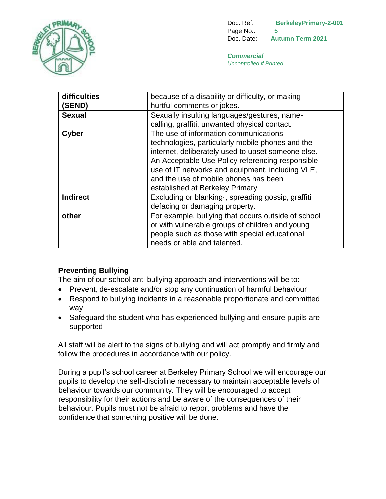

Doc. Ref: **BerkeleyPrimary-2-001**  Page No.: **5** Doc. Date: **Autumn Term 2021** 

*Commercial Uncontrolled if Printed*

| difficulties    | because of a disability or difficulty, or making    |
|-----------------|-----------------------------------------------------|
| (SEND)          | hurtful comments or jokes.                          |
| <b>Sexual</b>   | Sexually insulting languages/gestures, name-        |
|                 | calling, graffiti, unwanted physical contact.       |
| <b>Cyber</b>    | The use of information communications               |
|                 | technologies, particularly mobile phones and the    |
|                 | internet, deliberately used to upset someone else.  |
|                 | An Acceptable Use Policy referencing responsible    |
|                 | use of IT networks and equipment, including VLE,    |
|                 | and the use of mobile phones has been               |
|                 | established at Berkeley Primary                     |
| <b>Indirect</b> | Excluding or blanking , spreading gossip, graffiti  |
|                 | defacing or damaging property.                      |
| other           | For example, bullying that occurs outside of school |
|                 | or with vulnerable groups of children and young     |
|                 | people such as those with special educational       |
|                 | needs or able and talented.                         |

## **Preventing Bullying**

The aim of our school anti bullying approach and interventions will be to:

- Prevent, de-escalate and/or stop any continuation of harmful behaviour
- Respond to bullying incidents in a reasonable proportionate and committed way
- Safeguard the student who has experienced bullying and ensure pupils are supported

All staff will be alert to the signs of bullying and will act promptly and firmly and follow the procedures in accordance with our policy.

During a pupil's school career at Berkeley Primary School we will encourage our pupils to develop the self-discipline necessary to maintain acceptable levels of behaviour towards our community. They will be encouraged to accept responsibility for their actions and be aware of the consequences of their behaviour. Pupils must not be afraid to report problems and have the confidence that something positive will be done.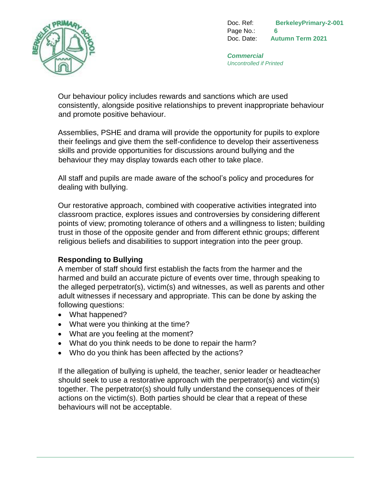

Doc. Ref: **BerkeleyPrimary-2-001**  Page No.: **6** Doc. Date: **Autumn Term 2021** 

*Commercial Uncontrolled if Printed*

Our behaviour policy includes rewards and sanctions which are used consistently, alongside positive relationships to prevent inappropriate behaviour and promote positive behaviour.

Assemblies, PSHE and drama will provide the opportunity for pupils to explore their feelings and give them the self-confidence to develop their assertiveness skills and provide opportunities for discussions around bullying and the behaviour they may display towards each other to take place.

All staff and pupils are made aware of the school's policy and procedures for dealing with bullying.

Our restorative approach, combined with cooperative activities integrated into classroom practice, explores issues and controversies by considering different points of view; promoting tolerance of others and a willingness to listen; building trust in those of the opposite gender and from different ethnic groups; different religious beliefs and disabilities to support integration into the peer group.

## **Responding to Bullying**

A member of staff should first establish the facts from the harmer and the harmed and build an accurate picture of events over time, through speaking to the alleged perpetrator(s), victim(s) and witnesses, as well as parents and other adult witnesses if necessary and appropriate. This can be done by asking the following questions:

- What happened?
- What were you thinking at the time?
- What are you feeling at the moment?
- What do you think needs to be done to repair the harm?
- Who do you think has been affected by the actions?

If the allegation of bullying is upheld, the teacher, senior leader or headteacher should seek to use a restorative approach with the perpetrator(s) and victim(s) together. The perpetrator(s) should fully understand the consequences of their actions on the victim(s). Both parties should be clear that a repeat of these behaviours will not be acceptable.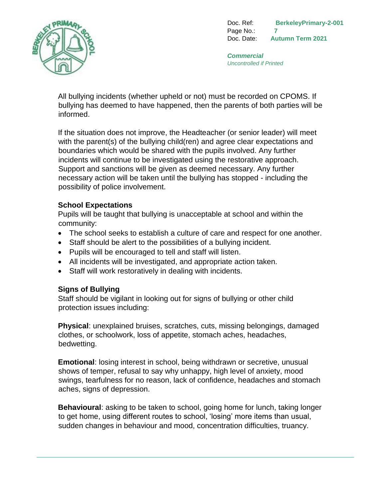

Doc. Ref: **BerkeleyPrimary-2-001**  Page No.: **7** Doc. Date: **Autumn Term 2021** 

*Commercial Uncontrolled if Printed*

All bullying incidents (whether upheld or not) must be recorded on CPOMS. If bullying has deemed to have happened, then the parents of both parties will be informed.

If the situation does not improve, the Headteacher (or senior leader) will meet with the parent(s) of the bullying child(ren) and agree clear expectations and boundaries which would be shared with the pupils involved. Any further incidents will continue to be investigated using the restorative approach. Support and sanctions will be given as deemed necessary. Any further necessary action will be taken until the bullying has stopped - including the possibility of police involvement.

## **School Expectations**

Pupils will be taught that bullying is unacceptable at school and within the community:

- The school seeks to establish a culture of care and respect for one another.
- Staff should be alert to the possibilities of a bullying incident.
- Pupils will be encouraged to tell and staff will listen.
- All incidents will be investigated, and appropriate action taken.
- Staff will work restoratively in dealing with incidents.

#### **Signs of Bullying**

Staff should be vigilant in looking out for signs of bullying or other child protection issues including:

**Physical**: unexplained bruises, scratches, cuts, missing belongings, damaged clothes, or schoolwork, loss of appetite, stomach aches, headaches, bedwetting.

**Emotional**: losing interest in school, being withdrawn or secretive, unusual shows of temper, refusal to say why unhappy, high level of anxiety, mood swings, tearfulness for no reason, lack of confidence, headaches and stomach aches, signs of depression.

**Behavioural**: asking to be taken to school, going home for lunch, taking longer to get home, using different routes to school, 'losing' more items than usual, sudden changes in behaviour and mood, concentration difficulties, truancy.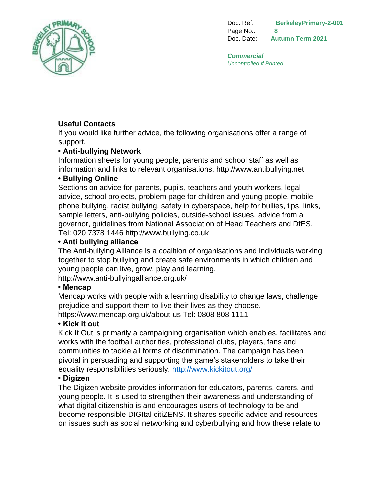

Doc. Ref: **BerkeleyPrimary-2-001**  Page No.: **8** Doc. Date: **Autumn Term 2021** 

*Commercial Uncontrolled if Printed*

# **Useful Contacts**

If you would like further advice, the following organisations offer a range of support.

## **• Anti-bullying Network**

Information sheets for young people, parents and school staff as well as information and links to relevant organisations. http://www.antibullying.net

## **• Bullying Online**

Sections on advice for parents, pupils, teachers and youth workers, legal advice, school projects, problem page for children and young people, mobile phone bullying, racist bullying, safety in cyberspace, help for bullies, tips, links, sample letters, anti-bullying policies, outside-school issues, advice from a governor, guidelines from National Association of Head Teachers and DfES. Tel: 020 7378 1446 http://www.bullying.co.uk

#### **• Anti bullying alliance**

The Anti-bullying Alliance is a coalition of organisations and individuals working together to stop bullying and create safe environments in which children and young people can live, grow, play and learning. http://www.anti-bullyingalliance.org.uk/

#### **• Mencap**

Mencap works with people with a learning disability to change laws, challenge prejudice and support them to live their lives as they choose. https://www.mencap.org.uk/about-us Tel: 0808 808 1111

## **• Kick it out**

Kick It Out is primarily a campaigning organisation which enables, facilitates and works with the football authorities, professional clubs, players, fans and communities to tackle all forms of discrimination. The campaign has been pivotal in persuading and supporting the game's stakeholders to take their equality responsibilities seriously. <http://www.kickitout.org/>

## **• Digizen**

The Digizen website provides information for educators, parents, carers, and young people. It is used to strengthen their awareness and understanding of what digital citizenship is and encourages users of technology to be and become responsible DIGItal citiZENS. It shares specific advice and resources on issues such as social networking and cyberbullying and how these relate to